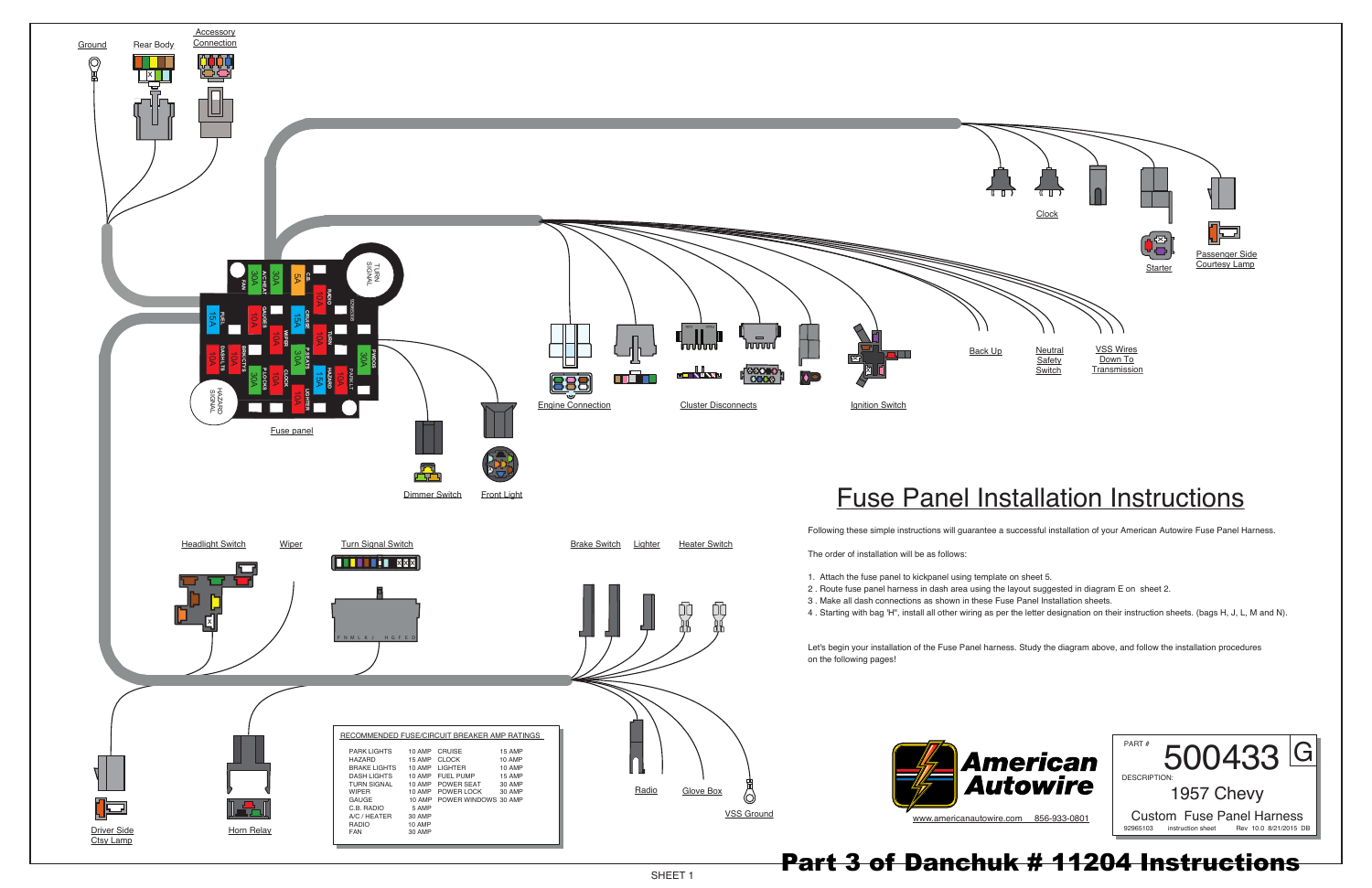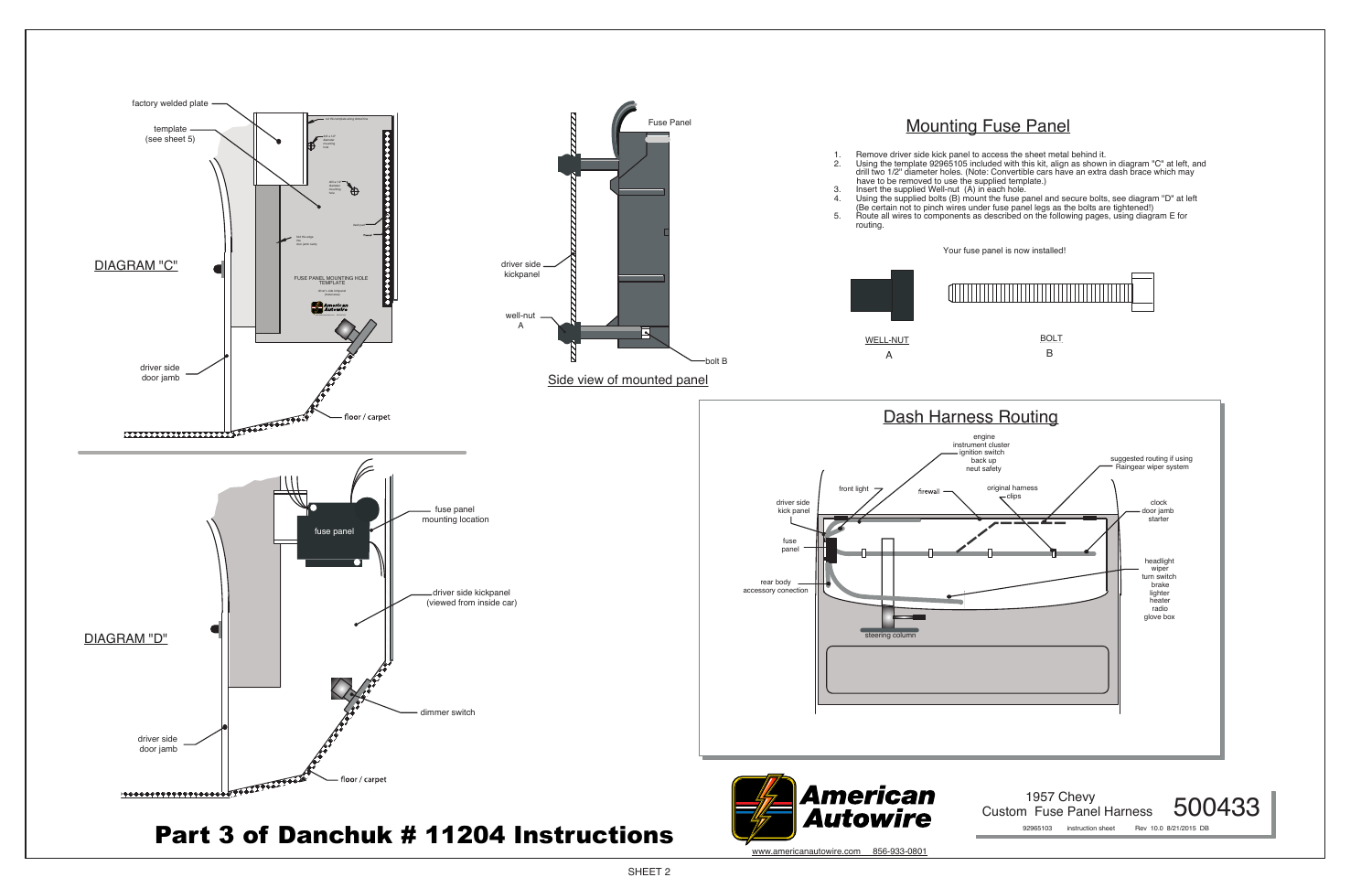SHEET 2

Custom Fuse Panel Harness 500433 92965103 instruction sheet Rev 10.0 8/21/2015 DB



clips clock<br>
and the clock door jamb starter headlight wiper turn switch brake lighter heater radio glove box suggested routing if using Raingear wiper system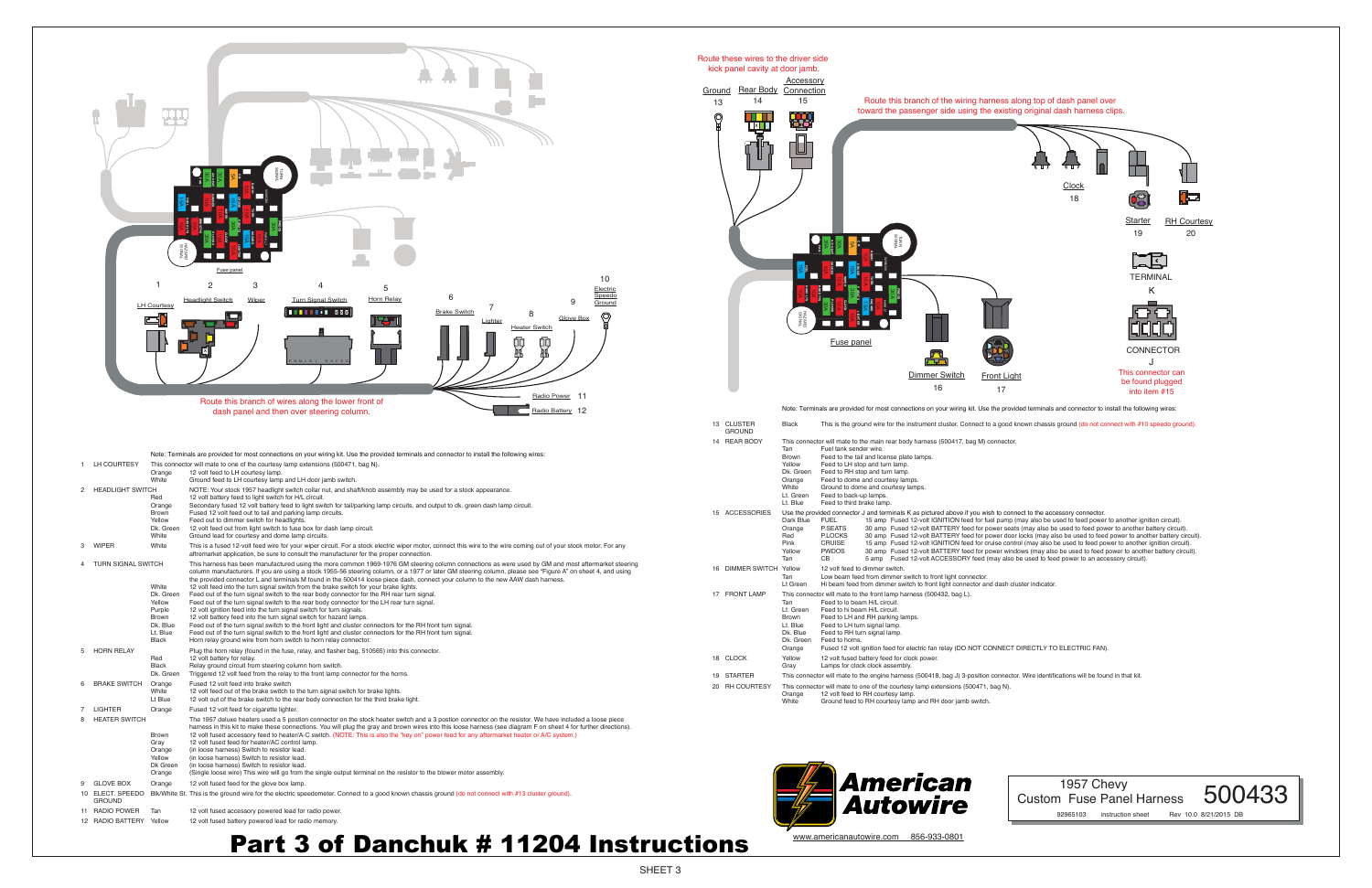SHEET 3

Accessory

### 1957 Chevy Custom Fuse Panel Harness 500433



Route these wires to the driver side kick panel cavity at door jamb.

92965103 instruction sheet Rev 10.0 8/21/2015 DB